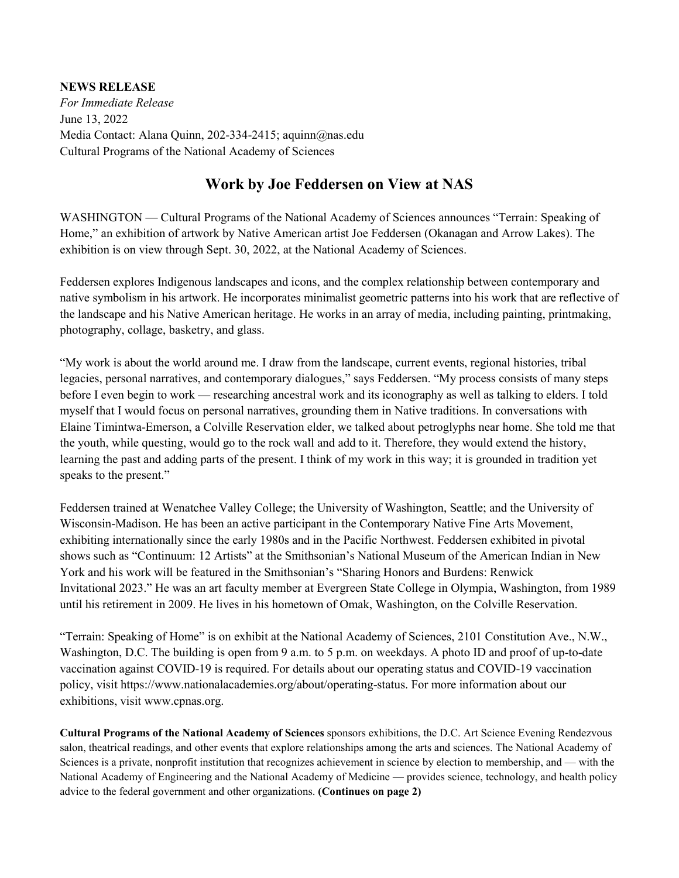## **NEWS RELEASE**

*For Immediate Release* June 13, 2022 Media Contact: Alana Quinn, 202-334-2415; aquinn@nas.edu Cultural Programs of the National Academy of Sciences

## **Work by Joe Feddersen on View at NAS**

WASHINGTON — Cultural Programs of the National Academy of Sciences announces "Terrain: Speaking of Home," an exhibition of artwork by Native American artist Joe Feddersen (Okanagan and Arrow Lakes). The exhibition is on view through Sept. 30, 2022, at the National Academy of Sciences.

Feddersen explores Indigenous landscapes and icons, and the complex relationship between contemporary and native symbolism in his artwork. He incorporates minimalist geometric patterns into his work that are reflective of the landscape and his Native American heritage. He works in an array of media, including painting, printmaking, photography, collage, basketry, and glass.

"My work is about the world around me. I draw from the landscape, current events, regional histories, tribal legacies, personal narratives, and contemporary dialogues," says Feddersen. "My process consists of many steps before I even begin to work — researching ancestral work and its iconography as well as talking to elders. I told myself that I would focus on personal narratives, grounding them in Native traditions. In conversations with Elaine Timintwa-Emerson, a Colville Reservation elder, we talked about petroglyphs near home. She told me that the youth, while questing, would go to the rock wall and add to it. Therefore, they would extend the history, learning the past and adding parts of the present. I think of my work in this way; it is grounded in tradition yet speaks to the present."

Feddersen trained at Wenatchee Valley College; the University of Washington, Seattle; and the University of Wisconsin-Madison. He has been an active participant in the Contemporary Native Fine Arts Movement, exhibiting internationally since the early 1980s and in the Pacific Northwest. Feddersen exhibited in pivotal shows such as "Continuum: 12 Artists" at the Smithsonian's National Museum of the American Indian in New York and his work will be featured in the Smithsonian's "Sharing Honors and Burdens: Renwick Invitational 2023." He was an art faculty member at Evergreen State College in Olympia, Washington, from 1989 until his retirement in 2009. He lives in his hometown of Omak, Washington, on the Colville Reservation.

"Terrain: Speaking of Home" is on exhibit at the National Academy of Sciences, 2101 Constitution Ave., N.W., Washington, D.C. The building is open from 9 a.m. to 5 p.m. on weekdays. A photo ID and proof of up-to-date vaccination against COVID-19 is required. For details about our operating status and COVID-19 vaccination policy, visit https://www.nationalacademies.org/about/operating-status. For more information about our exhibitions, visit [www.cpnas.org.](http://www.cpnas.org/)

**Cultural Programs of the National Academy of Sciences** sponsors exhibitions, the D.C. Art Science Evening Rendezvous salon, theatrical readings, and other events that explore relationships among the arts and sciences. The National Academy of Sciences is a private, nonprofit institution that recognizes achievement in science by election to membership, and — with the National Academy of Engineering and the National Academy of Medicine — provides science, technology, and health policy advice to the federal government and other organizations. **(Continues on page 2)**